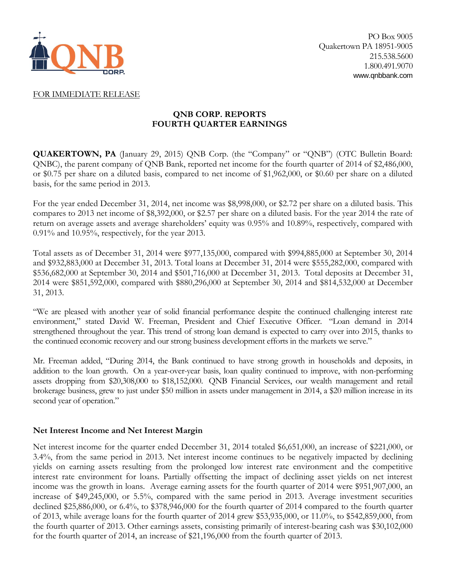

## FOR IMMEDIATE RELEASE

# **QNB CORP. REPORTS FOURTH QUARTER EARNINGS**

**QUAKERTOWN, PA** (January 29, 2015) QNB Corp. (the "Company" or "QNB") (OTC Bulletin Board: QNBC), the parent company of QNB Bank, reported net income for the fourth quarter of 2014 of \$2,486,000, or \$0.75 per share on a diluted basis, compared to net income of \$1,962,000, or \$0.60 per share on a diluted basis, for the same period in 2013.

For the year ended December 31, 2014, net income was \$8,998,000, or \$2.72 per share on a diluted basis. This compares to 2013 net income of \$8,392,000, or \$2.57 per share on a diluted basis. For the year 2014 the rate of return on average assets and average shareholders' equity was 0.95% and 10.89%, respectively, compared with 0.91% and 10.95%, respectively, for the year 2013.

Total assets as of December 31, 2014 were \$977,135,000, compared with \$994,885,000 at September 30, 2014 and \$932,883,000 at December 31, 2013. Total loans at December 31, 2014 were \$555,282,000, compared with \$536,682,000 at September 30, 2014 and \$501,716,000 at December 31, 2013. Total deposits at December 31, 2014 were \$851,592,000, compared with \$880,296,000 at September 30, 2014 and \$814,532,000 at December 31, 2013.

"We are pleased with another year of solid financial performance despite the continued challenging interest rate environment," stated David W. Freeman, President and Chief Executive Officer. "Loan demand in 2014 strengthened throughout the year. This trend of strong loan demand is expected to carry over into 2015, thanks to the continued economic recovery and our strong business development efforts in the markets we serve."

Mr. Freeman added, "During 2014, the Bank continued to have strong growth in households and deposits, in addition to the loan growth. On a year-over-year basis, loan quality continued to improve, with non-performing assets dropping from \$20,308,000 to \$18,152,000. QNB Financial Services, our wealth management and retail brokerage business, grew to just under \$50 million in assets under management in 2014, a \$20 million increase in its second year of operation."

## **Net Interest Income and Net Interest Margin**

Net interest income for the quarter ended December 31, 2014 totaled \$6,651,000, an increase of \$221,000, or 3.4%, from the same period in 2013. Net interest income continues to be negatively impacted by declining yields on earning assets resulting from the prolonged low interest rate environment and the competitive interest rate environment for loans. Partially offsetting the impact of declining asset yields on net interest income was the growth in loans. Average earning assets for the fourth quarter of 2014 were \$951,907,000, an increase of \$49,245,000, or 5.5%, compared with the same period in 2013. Average investment securities declined \$25,886,000, or 6.4%, to \$378,946,000 for the fourth quarter of 2014 compared to the fourth quarter of 2013, while average loans for the fourth quarter of 2014 grew \$53,935,000, or 11.0%, to \$542,859,000, from the fourth quarter of 2013. Other earnings assets, consisting primarily of interest-bearing cash was \$30,102,000 for the fourth quarter of 2014, an increase of \$21,196,000 from the fourth quarter of 2013.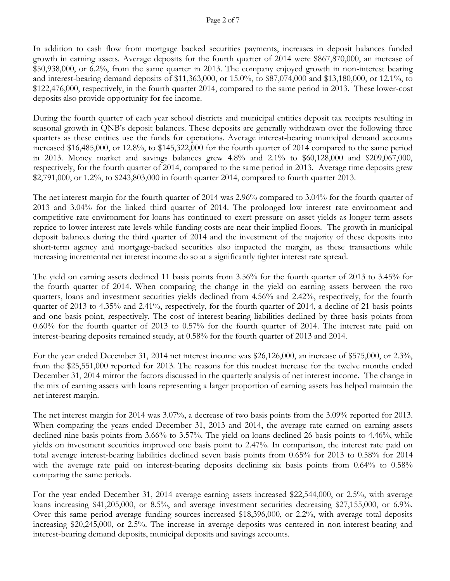In addition to cash flow from mortgage backed securities payments, increases in deposit balances funded growth in earning assets. Average deposits for the fourth quarter of 2014 were \$867,870,000, an increase of \$50,938,000, or 6.2%, from the same quarter in 2013. The company enjoyed growth in non-interest bearing and interest-bearing demand deposits of \$11,363,000, or 15.0%, to \$87,074,000 and \$13,180,000, or 12.1%, to \$122,476,000, respectively, in the fourth quarter 2014, compared to the same period in 2013. These lower-cost deposits also provide opportunity for fee income.

During the fourth quarter of each year school districts and municipal entities deposit tax receipts resulting in seasonal growth in QNB's deposit balances. These deposits are generally withdrawn over the following three quarters as these entities use the funds for operations. Average interest-bearing municipal demand accounts increased \$16,485,000, or 12.8%, to \$145,322,000 for the fourth quarter of 2014 compared to the same period in 2013. Money market and savings balances grew 4.8% and 2.1% to \$60,128,000 and \$209,067,000, respectively, for the fourth quarter of 2014, compared to the same period in 2013. Average time deposits grew \$2,791,000, or 1.2%, to \$243,803,000 in fourth quarter 2014, compared to fourth quarter 2013.

The net interest margin for the fourth quarter of 2014 was 2.96% compared to 3.04% for the fourth quarter of 2013 and 3.04% for the linked third quarter of 2014. The prolonged low interest rate environment and competitive rate environment for loans has continued to exert pressure on asset yields as longer term assets reprice to lower interest rate levels while funding costs are near their implied floors. The growth in municipal deposit balances during the third quarter of 2014 and the investment of the majority of these deposits into short-term agency and mortgage-backed securities also impacted the margin, as these transactions while increasing incremental net interest income do so at a significantly tighter interest rate spread.

The yield on earning assets declined 11 basis points from 3.56% for the fourth quarter of 2013 to 3.45% for the fourth quarter of 2014. When comparing the change in the yield on earning assets between the two quarters, loans and investment securities yields declined from 4.56% and 2.42%, respectively, for the fourth quarter of 2013 to 4.35% and 2.41%, respectively, for the fourth quarter of 2014, a decline of 21 basis points and one basis point, respectively. The cost of interest-bearing liabilities declined by three basis points from 0.60% for the fourth quarter of 2013 to 0.57% for the fourth quarter of 2014. The interest rate paid on interest-bearing deposits remained steady, at 0.58% for the fourth quarter of 2013 and 2014.

For the year ended December 31, 2014 net interest income was \$26,126,000, an increase of \$575,000, or 2.3%, from the \$25,551,000 reported for 2013. The reasons for this modest increase for the twelve months ended December 31, 2014 mirror the factors discussed in the quarterly analysis of net interest income. The change in the mix of earning assets with loans representing a larger proportion of earning assets has helped maintain the net interest margin.

The net interest margin for 2014 was 3.07%, a decrease of two basis points from the 3.09% reported for 2013. When comparing the years ended December 31, 2013 and 2014, the average rate earned on earning assets declined nine basis points from 3.66% to 3.57%. The yield on loans declined 26 basis points to 4.46%, while yields on investment securities improved one basis point to 2.47%. In comparison, the interest rate paid on total average interest-bearing liabilities declined seven basis points from 0.65% for 2013 to 0.58% for 2014 with the average rate paid on interest-bearing deposits declining six basis points from 0.64% to 0.58% comparing the same periods.

For the year ended December 31, 2014 average earning assets increased \$22,544,000, or 2.5%, with average loans increasing \$41,205,000, or 8.5%, and average investment securities decreasing \$27,155,000, or 6.9%. Over this same period average funding sources increased \$18,396,000, or 2.2%, with average total deposits increasing \$20,245,000, or 2.5%. The increase in average deposits was centered in non-interest-bearing and interest-bearing demand deposits, municipal deposits and savings accounts.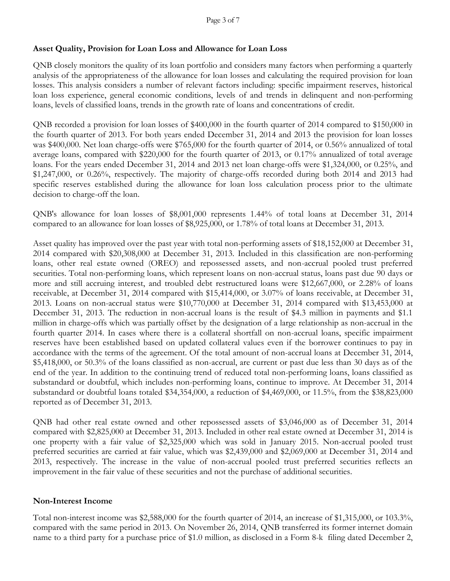## **Asset Quality, Provision for Loan Loss and Allowance for Loan Loss**

QNB closely monitors the quality of its loan portfolio and considers many factors when performing a quarterly analysis of the appropriateness of the allowance for loan losses and calculating the required provision for loan losses. This analysis considers a number of relevant factors including: specific impairment reserves, historical loan loss experience, general economic conditions, levels of and trends in delinquent and non-performing loans, levels of classified loans, trends in the growth rate of loans and concentrations of credit.

QNB recorded a provision for loan losses of \$400,000 in the fourth quarter of 2014 compared to \$150,000 in the fourth quarter of 2013. For both years ended December 31, 2014 and 2013 the provision for loan losses was \$400,000. Net loan charge-offs were \$765,000 for the fourth quarter of 2014, or 0.56% annualized of total average loans, compared with \$220,000 for the fourth quarter of 2013, or 0.17% annualized of total average loans. For the years ended December 31, 2014 and 2013 net loan charge-offs were \$1,324,000, or 0.25%, and \$1,247,000, or 0.26%, respectively. The majority of charge-offs recorded during both 2014 and 2013 had specific reserves established during the allowance for loan loss calculation process prior to the ultimate decision to charge-off the loan.

QNB's allowance for loan losses of \$8,001,000 represents 1.44% of total loans at December 31, 2014 compared to an allowance for loan losses of \$8,925,000, or 1.78% of total loans at December 31, 2013.

Asset quality has improved over the past year with total non-performing assets of \$18,152,000 at December 31, 2014 compared with \$20,308,000 at December 31, 2013. Included in this classification are non-performing loans, other real estate owned (OREO) and repossessed assets, and non-accrual pooled trust preferred securities. Total non-performing loans, which represent loans on non-accrual status, loans past due 90 days or more and still accruing interest, and troubled debt restructured loans were \$12,667,000, or 2.28% of loans receivable, at December 31, 2014 compared with \$15,414,000, or 3.07% of loans receivable, at December 31, 2013. Loans on non-accrual status were \$10,770,000 at December 31, 2014 compared with \$13,453,000 at December 31, 2013. The reduction in non-accrual loans is the result of \$4.3 million in payments and \$1.1 million in charge-offs which was partially offset by the designation of a large relationship as non-accrual in the fourth quarter 2014. In cases where there is a collateral shortfall on non-accrual loans, specific impairment reserves have been established based on updated collateral values even if the borrower continues to pay in accordance with the terms of the agreement. Of the total amount of non-accrual loans at December 31, 2014, \$5,418,000, or 50.3% of the loans classified as non-accrual, are current or past due less than 30 days as of the end of the year. In addition to the continuing trend of reduced total non-performing loans, loans classified as substandard or doubtful, which includes non-performing loans, continue to improve. At December 31, 2014 substandard or doubtful loans totaled \$34,354,000, a reduction of \$4,469,000, or 11.5%, from the \$38,823,000 reported as of December 31, 2013.

QNB had other real estate owned and other repossessed assets of \$3,046,000 as of December 31, 2014 compared with \$2,825,000 at December 31, 2013. Included in other real estate owned at December 31, 2014 is one property with a fair value of \$2,325,000 which was sold in January 2015. Non-accrual pooled trust preferred securities are carried at fair value, which was \$2,439,000 and \$2,069,000 at December 31, 2014 and 2013, respectively. The increase in the value of non-accrual pooled trust preferred securities reflects an improvement in the fair value of these securities and not the purchase of additional securities.

## **Non-Interest Income**

Total non-interest income was \$2,588,000 for the fourth quarter of 2014, an increase of \$1,315,000, or 103.3%, compared with the same period in 2013. On November 26, 2014, QNB transferred its former internet domain name to a third party for a purchase price of \$1.0 million, as disclosed in a Form 8-k filing dated December 2,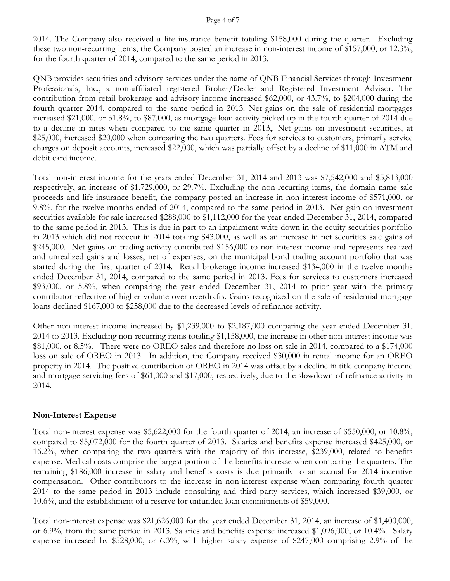#### Page 4 of 7

2014. The Company also received a life insurance benefit totaling \$158,000 during the quarter. Excluding these two non-recurring items, the Company posted an increase in non-interest income of \$157,000, or 12.3%, for the fourth quarter of 2014, compared to the same period in 2013.

QNB provides securities and advisory services under the name of QNB Financial Services through Investment Professionals, Inc., a non-affiliated registered Broker/Dealer and Registered Investment Advisor. The contribution from retail brokerage and advisory income increased \$62,000, or 43.7%, to \$204,000 during the fourth quarter 2014, compared to the same period in 2013. Net gains on the sale of residential mortgages increased \$21,000, or 31.8%, to \$87,000, as mortgage loan activity picked up in the fourth quarter of 2014 due to a decline in rates when compared to the same quarter in 2013,. Net gains on investment securities, at \$25,000, increased \$20,000 when comparing the two quarters. Fees for services to customers, primarily service charges on deposit accounts, increased \$22,000, which was partially offset by a decline of \$11,000 in ATM and debit card income.

Total non-interest income for the years ended December 31, 2014 and 2013 was \$7,542,000 and \$5,813,000 respectively, an increase of \$1,729,000, or 29.7%. Excluding the non-recurring items, the domain name sale proceeds and life insurance benefit, the company posted an increase in non-interest income of \$571,000, or 9.8%, for the twelve months ended of 2014, compared to the same period in 2013. Net gain on investment securities available for sale increased \$288,000 to \$1,112,000 for the year ended December 31, 2014, compared to the same period in 2013. This is due in part to an impairment write down in the equity securities portfolio in 2013 which did not reoccur in 2014 totaling \$43,000, as well as an increase in net securities sale gains of \$245,000. Net gains on trading activity contributed \$156,000 to non-interest income and represents realized and unrealized gains and losses, net of expenses, on the municipal bond trading account portfolio that was started during the first quarter of 2014. Retail brokerage income increased \$134,000 in the twelve months ended December 31, 2014, compared to the same period in 2013. Fees for services to customers increased \$93,000, or 5.8%, when comparing the year ended December 31, 2014 to prior year with the primary contributor reflective of higher volume over overdrafts. Gains recognized on the sale of residential mortgage loans declined \$167,000 to \$258,000 due to the decreased levels of refinance activity.

Other non-interest income increased by \$1,239,000 to \$2,187,000 comparing the year ended December 31, 2014 to 2013. Excluding non-recurring items totaling \$1,158,000, the increase in other non-interest income was \$81,000, or 8.5%. There were no OREO sales and therefore no loss on sale in 2014, compared to a \$174,000 loss on sale of OREO in 2013. In addition, the Company received \$30,000 in rental income for an OREO property in 2014. The positive contribution of OREO in 2014 was offset by a decline in title company income and mortgage servicing fees of \$61,000 and \$17,000, respectively, due to the slowdown of refinance activity in 2014.

## **Non-Interest Expense**

Total non-interest expense was \$5,622,000 for the fourth quarter of 2014, an increase of \$550,000, or 10.8%, compared to \$5,072,000 for the fourth quarter of 2013. Salaries and benefits expense increased \$425,000, or 16.2%, when comparing the two quarters with the majority of this increase, \$239,000, related to benefits expense. Medical costs comprise the largest portion of the benefits increase when comparing the quarters. The remaining \$186,000 increase in salary and benefits costs is due primarily to an accrual for 2014 incentive compensation. Other contributors to the increase in non-interest expense when comparing fourth quarter 2014 to the same period in 2013 include consulting and third party services, which increased \$39,000, or 10.6%, and the establishment of a reserve for unfunded loan commitments of \$59,000.

Total non-interest expense was \$21,626,000 for the year ended December 31, 2014, an increase of \$1,400,000, or 6.9%, from the same period in 2013. Salaries and benefits expense increased \$1,096,000, or 10.4%. Salary expense increased by \$528,000, or 6.3%, with higher salary expense of \$247,000 comprising 2.9% of the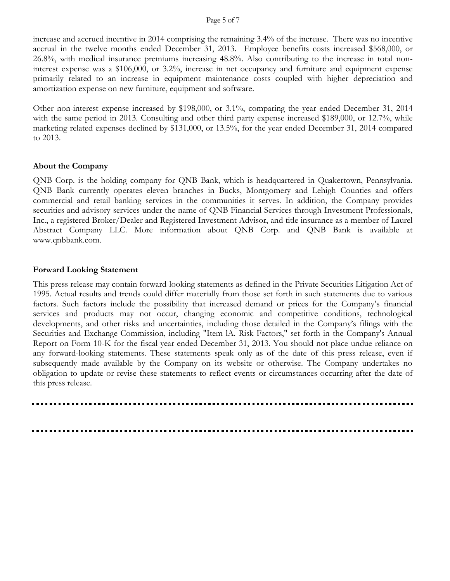#### Page 5 of 7

increase and accrued incentive in 2014 comprising the remaining 3.4% of the increase. There was no incentive accrual in the twelve months ended December 31, 2013. Employee benefits costs increased \$568,000, or 26.8%, with medical insurance premiums increasing 48.8%. Also contributing to the increase in total noninterest expense was a \$106,000, or 3.2%, increase in net occupancy and furniture and equipment expense primarily related to an increase in equipment maintenance costs coupled with higher depreciation and amortization expense on new furniture, equipment and software.

Other non-interest expense increased by \$198,000, or 3.1%, comparing the year ended December 31, 2014 with the same period in 2013. Consulting and other third party expense increased \$189,000, or 12.7%, while marketing related expenses declined by \$131,000, or 13.5%, for the year ended December 31, 2014 compared to 2013.

### **About the Company**

QNB Corp. is the holding company for QNB Bank, which is headquartered in Quakertown, Pennsylvania. QNB Bank currently operates eleven branches in Bucks, Montgomery and Lehigh Counties and offers commercial and retail banking services in the communities it serves. In addition, the Company provides securities and advisory services under the name of QNB Financial Services through Investment Professionals, Inc., a registered Broker/Dealer and Registered Investment Advisor, and title insurance as a member of Laurel Abstract Company LLC. More information about QNB Corp. and QNB Bank is available at www.qnbbank.com.

### **Forward Looking Statement**

This press release may contain forward-looking statements as defined in the Private Securities Litigation Act of 1995. Actual results and trends could differ materially from those set forth in such statements due to various factors. Such factors include the possibility that increased demand or prices for the Company's financial services and products may not occur, changing economic and competitive conditions, technological developments, and other risks and uncertainties, including those detailed in the Company's filings with the Securities and Exchange Commission, including "Item lA. Risk Factors," set forth in the Company's Annual Report on Form 10-K for the fiscal year ended December 31, 2013. You should not place undue reliance on any forward-looking statements. These statements speak only as of the date of this press release, even if subsequently made available by the Company on its website or otherwise. The Company undertakes no obligation to update or revise these statements to reflect events or circumstances occurring after the date of this press release.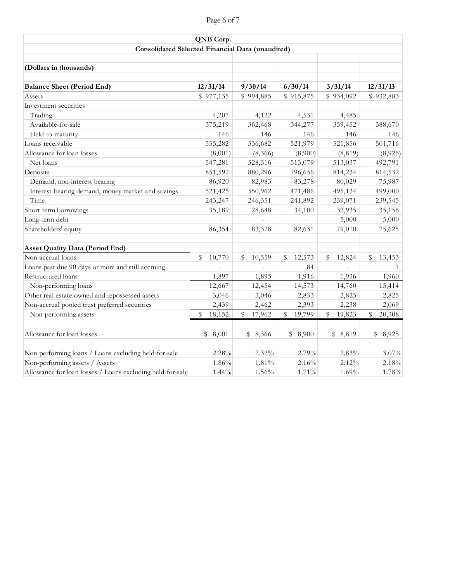# Page 6 of 7

| QNB Corp.<br>Consolidated Selected Financial Data (unaudited) |                        |              |                        |                        |              |  |  |  |  |  |  |
|---------------------------------------------------------------|------------------------|--------------|------------------------|------------------------|--------------|--|--|--|--|--|--|
|                                                               |                        |              |                        |                        |              |  |  |  |  |  |  |
| (Dollars in thousands)                                        |                        |              |                        |                        |              |  |  |  |  |  |  |
|                                                               |                        |              |                        |                        |              |  |  |  |  |  |  |
| <b>Balance Sheet (Period End)</b>                             | 12/31/14               | 9/30/14      | 6/30/14                | 3/31/14                | 12/31/13     |  |  |  |  |  |  |
| Assets                                                        | \$977,135              | \$994,885    | \$915,875              | \$934,092              | \$932,883    |  |  |  |  |  |  |
| Investment securities                                         |                        |              |                        |                        |              |  |  |  |  |  |  |
| Trading                                                       | 4,207                  | 4,122        | 4,531                  | 4,485                  |              |  |  |  |  |  |  |
| Available-for-sale                                            | 375,219                | 362,468      | 344,277                | 359,452                | 388,670      |  |  |  |  |  |  |
| Held-to-maturity                                              | 146                    | 146          | 146                    | 146                    | 146          |  |  |  |  |  |  |
| Loans receivable                                              | 555,282                | 536,682      | 521,979                | 521,856                | 501,716      |  |  |  |  |  |  |
| Allowance for loan losses                                     | (8,001)                | (8,366)      | (8,900)                | (8, 819)               | (8,925)      |  |  |  |  |  |  |
| Net loans                                                     | 547,281                | 528,316      | 513,079                | 513,037                | 492,791      |  |  |  |  |  |  |
| Deposits                                                      | 851,592                | 880,296      | 796,656                | 814,234                | 814,532      |  |  |  |  |  |  |
| Demand, non-interest bearing                                  | 86,920                 | 82,983       | 83,278                 | 80,029                 | 75,987       |  |  |  |  |  |  |
| Interest-bearing demand, money market and savings             | 521,425                | 550,962      | 471,486                | 495,134                | 499,000      |  |  |  |  |  |  |
| Time                                                          | 243,247                | 246,351      | 241,892                | 239,071                | 239,545      |  |  |  |  |  |  |
| Short-term borrowings                                         | 35,189                 | 28,648       | 34,100                 | 32,935                 | 35,156       |  |  |  |  |  |  |
| Long-term debt                                                |                        |              |                        | 5,000                  | 5,000        |  |  |  |  |  |  |
| Shareholders' equity                                          | 86,354                 | 83,328       | 82,631                 | 79,010                 | 75,625       |  |  |  |  |  |  |
|                                                               |                        |              |                        |                        |              |  |  |  |  |  |  |
| <b>Asset Quality Data (Period End)</b>                        |                        |              |                        |                        |              |  |  |  |  |  |  |
| Non-accrual loans                                             | \$<br>10,770           | 10,559<br>\$ | \$<br>12,573           | 12,824<br>\$           | \$<br>13,453 |  |  |  |  |  |  |
| Loans past due 90 days or more and still accruing             |                        |              | 84                     |                        |              |  |  |  |  |  |  |
| Restructured loans                                            | 1,897                  | 1,895        | 1,916                  | 1,936                  | 1,960        |  |  |  |  |  |  |
| Non-performing loans                                          | 12,667                 | 12,454       | 14,573                 | 14,760                 | 15,414       |  |  |  |  |  |  |
| Other real estate owned and repossessed assets                | 3,046                  | 3,046        | 2,833                  | 2,825                  | 2,825        |  |  |  |  |  |  |
| Non-accrual pooled trust preferred securities                 | 2,439                  | 2,462        | 2,393                  | 2,238                  | 2,069        |  |  |  |  |  |  |
| Non-performing assets                                         | $\mathbb{S}$<br>18,152 | 17,962<br>\$ | 19,799<br>$\mathbb{S}$ | $\mathbb{S}$<br>19,823 | \$<br>20,308 |  |  |  |  |  |  |
|                                                               |                        |              |                        |                        |              |  |  |  |  |  |  |
| Allowance for loan losses                                     | \$8,001                | \$8,366      | \$8,900                | \$8,819                | \$8,925      |  |  |  |  |  |  |
|                                                               |                        |              |                        |                        |              |  |  |  |  |  |  |
| Non-performing loans / Loans excluding held-for-sale          | 2.28%                  | 2.32%        | 2.79%                  | 2.83%                  | $3.07\%$     |  |  |  |  |  |  |
| Non-performing assets / Assets                                | 1.86%                  | 1.81%        | 2.16%                  | 2.12%                  | 2.18%        |  |  |  |  |  |  |
| Allowance for loan losses / Loans excluding held-for-sale     | 1.44%                  | 1.56%        | 1.71%                  | 1.69%                  | 1.78%        |  |  |  |  |  |  |